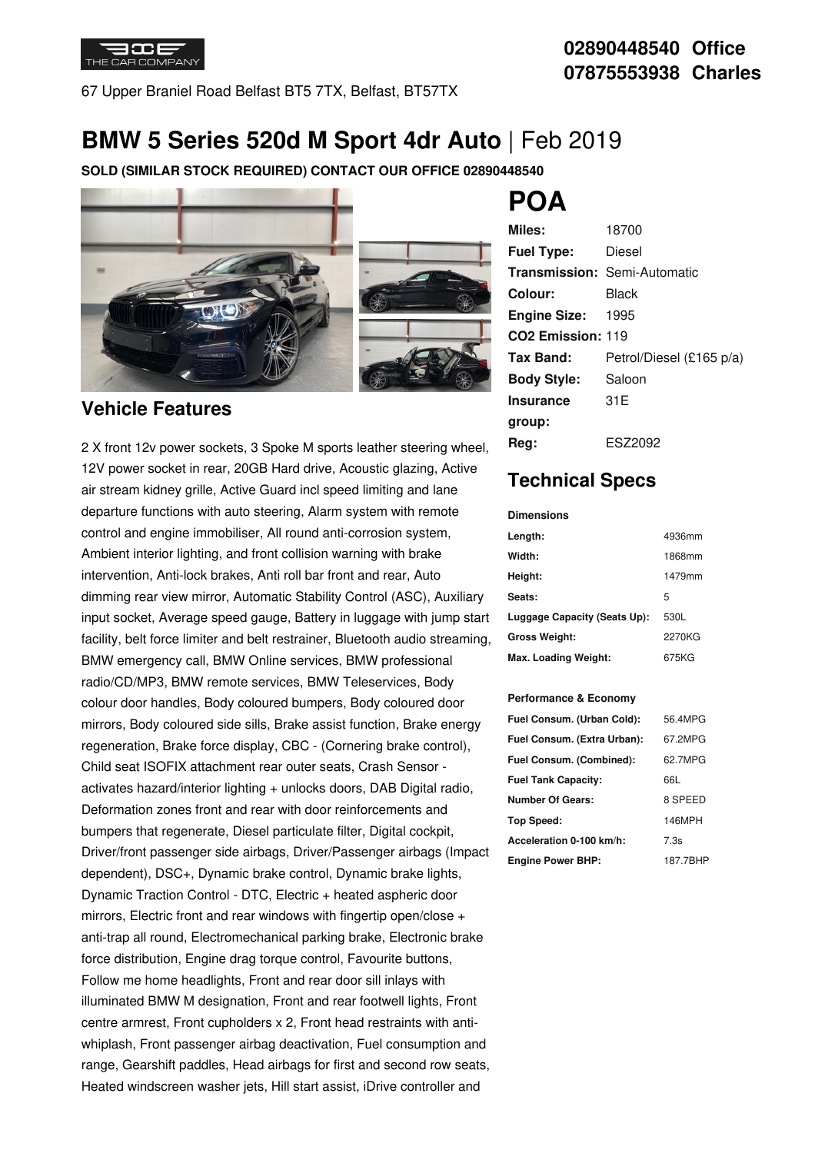

67 Upper Braniel Road Belfast BT5 7TX, Belfast, BT57TX

## **02890448540 Office 07875553938 Charles**

## **BMW 5 Series 520d M Sport 4dr Auto** | Feb 2019

**SOLD (SIMILAR STOCK REQUIRED) CONTACT OUR OFFICE 02890448540**



### **Vehicle Features**

2 X front 12v power sockets, 3 Spoke M sports leather steering wheel, 12V power socket in rear, 20GB Hard drive, Acoustic glazing, Active air stream kidney grille, Active Guard incl speed limiting and lane departure functions with auto steering, Alarm system with remote control and engine immobiliser, All round anti-corrosion system, Ambient interior lighting, and front collision warning with brake intervention, Anti-lock brakes, Anti roll bar front and rear, Auto dimming rear view mirror, Automatic Stability Control (ASC), Auxiliary input socket, Average speed gauge, Battery in luggage with jump start facility, belt force limiter and belt restrainer, Bluetooth audio streaming, BMW emergency call, BMW Online services, BMW professional radio/CD/MP3, BMW remote services, BMW Teleservices, Body colour door handles, Body coloured bumpers, Body coloured door mirrors, Body coloured side sills, Brake assist function, Brake energy regeneration, Brake force display, CBC - (Cornering brake control), Child seat ISOFIX attachment rear outer seats, Crash Sensor activates hazard/interior lighting + unlocks doors, DAB Digital radio, Deformation zones front and rear with door reinforcements and bumpers that regenerate, Diesel particulate filter, Digital cockpit, Driver/front passenger side airbags, Driver/Passenger airbags (Impact dependent), DSC+, Dynamic brake control, Dynamic brake lights, Dynamic Traction Control - DTC, Electric + heated aspheric door mirrors, Electric front and rear windows with fingertip open/close + anti-trap all round, Electromechanical parking brake, Electronic brake force distribution, Engine drag torque control, Favourite buttons, Follow me home headlights, Front and rear door sill inlays with illuminated BMW M designation, Front and rear footwell lights, Front centre armrest, Front cupholders x 2, Front head restraints with anti whiplash, Front passenger airbag deactivation, Fuel consumption and range, Gearshift paddles, Head airbags for first and second row seats, Heated windscreen washer jets, Hill start assist, iDrive controller and

# **POA**

| Miles:                        | 18700                               |
|-------------------------------|-------------------------------------|
| <b>Fuel Type:</b>             | Diesel                              |
|                               | <b>Transmission: Semi-Automatic</b> |
| Colour:                       | Black                               |
| <b>Engine Size:</b>           | 1995                                |
| CO <sub>2</sub> Emission: 119 |                                     |
| Tax Band:                     | Petrol/Diesel (£165 p/a)            |
| <b>Body Style:</b>            | Saloon                              |
| <b>Insurance</b>              | 31 E                                |
| group:                        |                                     |
| Rea:                          | ESZ2092                             |

## **Technical Specs**

**Dimensions**

| Length:                      | 4936mm |
|------------------------------|--------|
|                              |        |
| Width:                       | 1868mm |
| Height:                      | 1479mm |
| Seats:                       | 5      |
| Luggage Capacity (Seats Up): | 530L   |
| <b>Gross Weight:</b>         | 2270KG |
| Max. Loading Weight:         | 675KG  |

#### **Performance & Economy**

| Fuel Consum. (Urban Cold):  | 56.4MPG  |
|-----------------------------|----------|
| Fuel Consum. (Extra Urban): | 67.2MPG  |
| Fuel Consum. (Combined):    | 62.7MPG  |
| <b>Fuel Tank Capacity:</b>  | 66L      |
| <b>Number Of Gears:</b>     | 8 SPEED  |
| Top Speed:                  | 146MPH   |
| Acceleration 0-100 km/h:    | 7.3s     |
| <b>Engine Power BHP:</b>    | 187.7BHP |